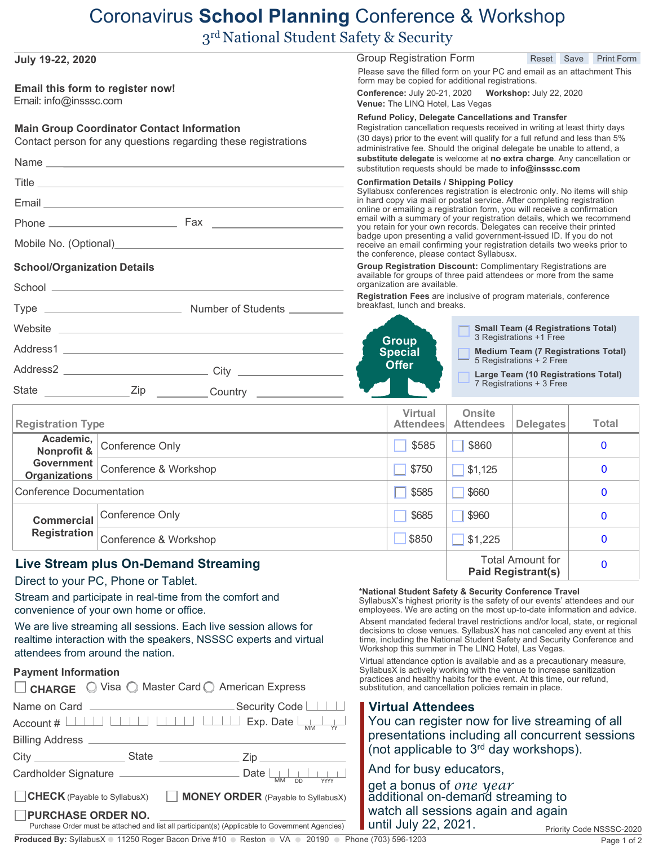## Coronavirus **School Planning** Conference & Workshop

3 rd National Student Safety & Security

| <b>July 19-22, 2020</b><br>Email this form to register now!                                                         |                                                                                                 |                                                                                                                                                                                                                                                                                              | Group Registration Form<br>Reset Save<br><b>Print Form</b><br>Please save the filled form on your PC and email as an attachment This<br>form may be copied for additional registrations.                                                                                                                                                                                  |                                   |                                                                 |                          |  |
|---------------------------------------------------------------------------------------------------------------------|-------------------------------------------------------------------------------------------------|----------------------------------------------------------------------------------------------------------------------------------------------------------------------------------------------------------------------------------------------------------------------------------------------|---------------------------------------------------------------------------------------------------------------------------------------------------------------------------------------------------------------------------------------------------------------------------------------------------------------------------------------------------------------------------|-----------------------------------|-----------------------------------------------------------------|--------------------------|--|
| Email: info@insssc.com                                                                                              |                                                                                                 |                                                                                                                                                                                                                                                                                              | <b>Conference: July 20-21, 2020</b><br><b>Workshop: July 22, 2020</b><br>Venue: The LINQ Hotel, Las Vegas                                                                                                                                                                                                                                                                 |                                   |                                                                 |                          |  |
| <b>Main Group Coordinator Contact Information</b><br>Contact person for any questions regarding these registrations |                                                                                                 | Refund Policy, Delegate Cancellations and Transfer<br>Registration cancellation requests received in writing at least thirty days<br>(30 days) prior to the event will qualify for a full refund and less than 5%<br>administrative fee. Should the original delegate be unable to attend, a |                                                                                                                                                                                                                                                                                                                                                                           |                                   |                                                                 |                          |  |
|                                                                                                                     |                                                                                                 |                                                                                                                                                                                                                                                                                              | substitute delegate is welcome at no extra charge. Any cancellation or<br>substitution requests should be made to info@insssc.com                                                                                                                                                                                                                                         |                                   |                                                                 |                          |  |
|                                                                                                                     |                                                                                                 |                                                                                                                                                                                                                                                                                              | <b>Confirmation Details / Shipping Policy</b>                                                                                                                                                                                                                                                                                                                             |                                   |                                                                 |                          |  |
|                                                                                                                     |                                                                                                 |                                                                                                                                                                                                                                                                                              | Syllabusx conferences registration is electronic only. No items will ship<br>in hard copy via mail or postal service. After completing registration                                                                                                                                                                                                                       |                                   |                                                                 |                          |  |
|                                                                                                                     |                                                                                                 |                                                                                                                                                                                                                                                                                              | online or emailing a registration form, you will receive a confirmation<br>email with a summary of your registration details, which we recommend<br>you retain for your own records. Delegates can receive their printed<br>badge upon presenting a valid government-issued ID. If you do not<br>receive an email confirming your registration details two weeks prior to |                                   |                                                                 |                          |  |
|                                                                                                                     |                                                                                                 |                                                                                                                                                                                                                                                                                              |                                                                                                                                                                                                                                                                                                                                                                           |                                   |                                                                 |                          |  |
|                                                                                                                     |                                                                                                 |                                                                                                                                                                                                                                                                                              | the conference, please contact Syllabusx.                                                                                                                                                                                                                                                                                                                                 |                                   |                                                                 |                          |  |
| <b>School/Organization Details</b>                                                                                  |                                                                                                 |                                                                                                                                                                                                                                                                                              | Group Registration Discount: Complimentary Registrations are<br>available for groups of three paid attendees or more from the same<br>organization are available.                                                                                                                                                                                                         |                                   |                                                                 |                          |  |
|                                                                                                                     |                                                                                                 |                                                                                                                                                                                                                                                                                              | Registration Fees are inclusive of program materials, conference<br>breakfast, lunch and breaks.                                                                                                                                                                                                                                                                          |                                   |                                                                 |                          |  |
|                                                                                                                     |                                                                                                 |                                                                                                                                                                                                                                                                                              |                                                                                                                                                                                                                                                                                                                                                                           |                                   | <b>Small Team (4 Registrations Total)</b>                       |                          |  |
|                                                                                                                     |                                                                                                 |                                                                                                                                                                                                                                                                                              | 3 Registrations +1 Free<br><b>Group</b><br><b>Special</b><br><b>Medium Team (7 Registrations Total)</b><br>5 Registrations + 2 Free<br><b>Offer</b>                                                                                                                                                                                                                       |                                   |                                                                 |                          |  |
|                                                                                                                     |                                                                                                 |                                                                                                                                                                                                                                                                                              |                                                                                                                                                                                                                                                                                                                                                                           |                                   |                                                                 |                          |  |
| State                                                                                                               |                                                                                                 |                                                                                                                                                                                                                                                                                              |                                                                                                                                                                                                                                                                                                                                                                           |                                   | Large Team (10 Registrations Total)<br>7 Registrations + 3 Free |                          |  |
|                                                                                                                     |                                                                                                 |                                                                                                                                                                                                                                                                                              |                                                                                                                                                                                                                                                                                                                                                                           |                                   |                                                                 |                          |  |
| <b>Registration Type</b>                                                                                            |                                                                                                 |                                                                                                                                                                                                                                                                                              | <b>Virtual</b><br><b>Attendees</b>                                                                                                                                                                                                                                                                                                                                        | <b>Onsite</b><br><b>Attendees</b> | <b>Delegates</b>                                                | <b>Total</b>             |  |
| Academic,<br>Nonprofit &                                                                                            | Conference Only                                                                                 |                                                                                                                                                                                                                                                                                              | \$585                                                                                                                                                                                                                                                                                                                                                                     | \$860                             |                                                                 | $\mathbf{0}$             |  |
| <b>Government</b><br><b>Organizations</b>                                                                           | Conference & Workshop                                                                           |                                                                                                                                                                                                                                                                                              | \$750                                                                                                                                                                                                                                                                                                                                                                     | \$1,125                           |                                                                 | $\mathbf{0}$             |  |
| <b>Conference Documentation</b>                                                                                     |                                                                                                 |                                                                                                                                                                                                                                                                                              | \$585                                                                                                                                                                                                                                                                                                                                                                     | \$660                             |                                                                 | $\mathbf{0}$             |  |
|                                                                                                                     | Commercial Conference Only                                                                      |                                                                                                                                                                                                                                                                                              | \$685                                                                                                                                                                                                                                                                                                                                                                     | \$960                             |                                                                 | $\mathbf{0}$             |  |
| <b>Registration</b>                                                                                                 | Conference & Workshop                                                                           |                                                                                                                                                                                                                                                                                              | \$850                                                                                                                                                                                                                                                                                                                                                                     | \$1,225                           |                                                                 | 0                        |  |
|                                                                                                                     | Live Stream plus On-Demand Streaming                                                            |                                                                                                                                                                                                                                                                                              |                                                                                                                                                                                                                                                                                                                                                                           |                                   | <b>Total Amount for</b>                                         | 0                        |  |
|                                                                                                                     | Direct to your PC, Phone or Tablet.                                                             |                                                                                                                                                                                                                                                                                              |                                                                                                                                                                                                                                                                                                                                                                           |                                   | <b>Paid Registrant(s)</b>                                       |                          |  |
| Stream and participate in real-time from the comfort and<br>convenience of your own home or office.                 |                                                                                                 |                                                                                                                                                                                                                                                                                              | *National Student Safety & Security Conference Travel<br>SyllabusX's highest priority is the safety of our events' attendees and our<br>employees. We are acting on the most up-to-date information and advice.                                                                                                                                                           |                                   |                                                                 |                          |  |
|                                                                                                                     | We are live streaming all sessions. Each live session allows for                                |                                                                                                                                                                                                                                                                                              | Absent mandated federal travel restrictions and/or local, state, or regional<br>decisions to close venues. SyllabusX has not canceled any event at this                                                                                                                                                                                                                   |                                   |                                                                 |                          |  |
| realtime interaction with the speakers, NSSSC experts and virtual                                                   |                                                                                                 |                                                                                                                                                                                                                                                                                              | time, including the National Student Safety and Security Conference and<br>Workshop this summer in The LINQ Hotel, Las Vegas.                                                                                                                                                                                                                                             |                                   |                                                                 |                          |  |
| attendees from around the nation.                                                                                   |                                                                                                 | Virtual attendance option is available and as a precautionary measure,<br>SyllabusX is actively working with the venue to increase sanitization                                                                                                                                              |                                                                                                                                                                                                                                                                                                                                                                           |                                   |                                                                 |                          |  |
| <b>Payment Information</b><br>□ CHARGE ○ Visa ○ Master Card ○ American Express                                      |                                                                                                 |                                                                                                                                                                                                                                                                                              | practices and healthy habits for the event. At this time, our refund,<br>substitution, and cancellation policies remain in place.                                                                                                                                                                                                                                         |                                   |                                                                 |                          |  |
| Name on Card                                                                                                        | Security Code                                                                                   |                                                                                                                                                                                                                                                                                              | <b>Virtual Attendees</b>                                                                                                                                                                                                                                                                                                                                                  |                                   |                                                                 |                          |  |
| Account #                                                                                                           | Exp. Date                                                                                       |                                                                                                                                                                                                                                                                                              | You can register now for live streaming of all                                                                                                                                                                                                                                                                                                                            |                                   |                                                                 |                          |  |
| <b>Billing Address</b>                                                                                              |                                                                                                 |                                                                                                                                                                                                                                                                                              | presentations including all concurrent sessions<br>(not applicable to 3 <sup>rd</sup> day workshops).                                                                                                                                                                                                                                                                     |                                   |                                                                 |                          |  |
| City                                                                                                                | <b>State</b><br>Zip                                                                             |                                                                                                                                                                                                                                                                                              |                                                                                                                                                                                                                                                                                                                                                                           |                                   |                                                                 |                          |  |
| Cardholder Signature                                                                                                | Date<br><b>MM</b><br>DD<br><b>YYYY</b>                                                          |                                                                                                                                                                                                                                                                                              | And for busy educators,                                                                                                                                                                                                                                                                                                                                                   |                                   |                                                                 |                          |  |
| <b>CHECK</b> (Payable to SyllabusX)                                                                                 |                                                                                                 | get a bonus of one year<br>additional on-demand streaming to                                                                                                                                                                                                                                 |                                                                                                                                                                                                                                                                                                                                                                           |                                   |                                                                 |                          |  |
| <b>PURCHASE ORDER NO.</b>                                                                                           |                                                                                                 |                                                                                                                                                                                                                                                                                              | watch all sessions again and again                                                                                                                                                                                                                                                                                                                                        |                                   |                                                                 |                          |  |
|                                                                                                                     | Purchase Order must be attached and list all participant(s) (Applicable to Government Agencies) |                                                                                                                                                                                                                                                                                              | until July 22, 2021.                                                                                                                                                                                                                                                                                                                                                      |                                   |                                                                 | Priority Code NSSSC-2020 |  |

**Produced By:** SyllabusX 0 11250 Roger Bacon Drive #10 0 Reston 0 VA 0 20190 0 Phone (703) 596-1203

Page 1 of 2